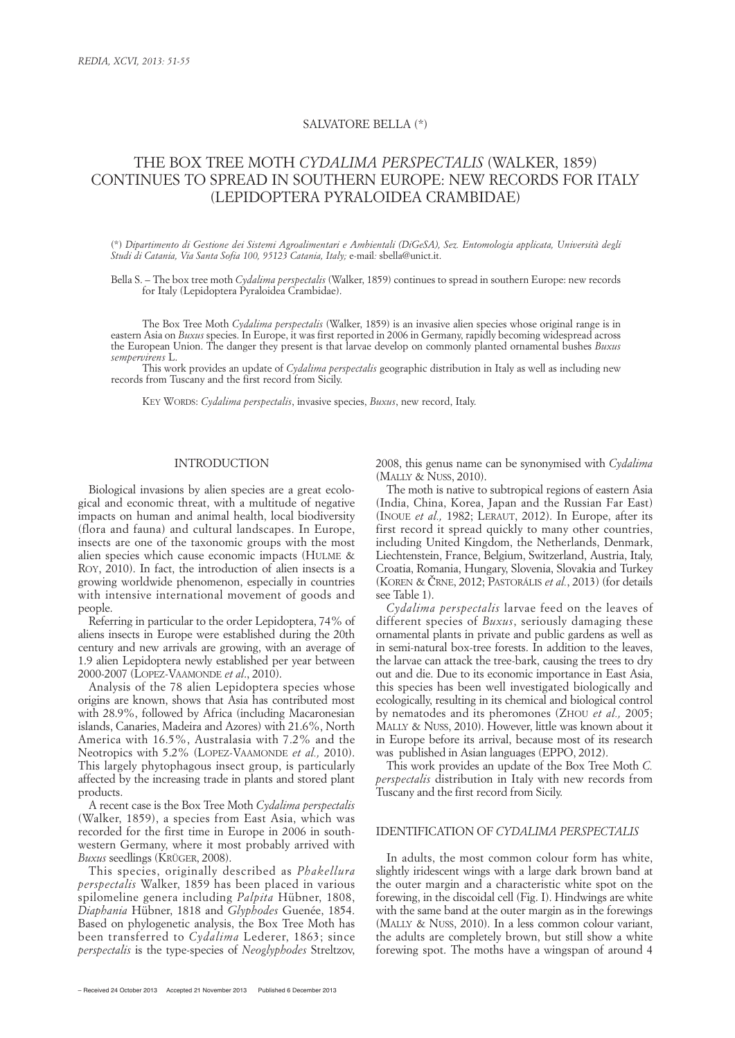# SALVATORE BELLA (\*)

# THE BOX TREE MOTH *CYDALIMA PERSPECTALIS* (WALKER, 1859) CONTINUES TO SPREAD IN SOUTHERN EUROPE: NEW RECORDS FOR ITALY (LEPIDOPTERA PYRALOIDEA CRAMBIDAE)

(\*) *Dipartimento di Gestione dei Sistemi Agroalimentari e Ambientali (DiGeSA), Sez. Entomologia applicata, Università degli Studi di Catania, Via Santa Sofia 100, 95123 Catania, Italy;* e-mail*:* sbella@unict.it.

Bella S. – The box tree moth *Cydalima perspectalis* (Walker, 1859) continues to spread in southern Europe: new records for Italy (Lepidoptera Pyraloidea Crambidae).

The Box Tree Moth *Cydalima perspectalis* (Walker, 1859) is an invasive alien species whose original range is in eastern Asia on *Buxus* species. In Europe, it was first reported in 2006 in Germany, rapidly becoming widespread across the European Union. The danger they present is that larvae develop on commonly planted ornamental bushes *Buxus sempervirens* L.

This work provides an update of *Cydalima perspectalis* geographic distribution in Italy as well as including new records from Tuscany and the first record from Sicily.

KEY WORDS: *Cydalima perspectalis*, invasive species, *Buxus*, new record, Italy.

# INTRODUCTION

Biological invasions by alien species are a great ecological and economic threat, with a multitude of negative impacts on human and animal health, local biodiversity (flora and fauna) and cultural landscapes. In Europe, insects are one of the taxonomic groups with the most alien species which cause economic impacts (HULME & ROY, 2010). In fact, the introduction of alien insects is a growing worldwide phenomenon, especially in countries with intensive international movement of goods and people.

Referring in particular to the order Lepidoptera, 74% of aliens insects in Europe were established during the 20th century and new arrivals are growing, with an average of 1.9 alien Lepidoptera newly established per year between 2000-2007 (LOPEZ-VAAMONDE *et al*., 2010).

Analysis of the 78 alien Lepidoptera species whose origins are known, shows that Asia has contributed most with 28.9%, followed by Africa (including Macaronesian islands, Canaries, Madeira and Azores) with 21.6%, North America with 16.5%, Australasia with 7.2% and the Neotropics with 5.2% (LOPEZ-VAAMONDE *et al.,* 2010). This largely phytophagous insect group, is particularly affected by the increasing trade in plants and stored plant products.

A recent case is the Box Tree Moth *Cydalima perspectalis* (Walker, 1859), a species from East Asia, which was recorded for the first time in Europe in 2006 in southwestern Germany, where it most probably arrived with *Buxus* seedlings (KRÜGER, 2008).

This species, originally described as *Phakellura perspectalis* Walker, 1859 has been placed in various spilomeline genera including *Palpita* Hübner, 1808, *Diaphania* Hübner, 1818 and *Glyphodes* Guenée, 1854. Based on phylogenetic analysis, the Box Tree Moth has been transferred to *Cydalima* Lederer, 1863; since *perspectalis* is the type-species of *Neoglyphodes* Streltzov, 2008, this genus name can be synonymised with *Cydalima* (MALLY & NUSS, 2010).

The moth is native to subtropical regions of eastern Asia (India, China, Korea, Japan and the Russian Far East) (INOUE *et al.,* 1982; LERAUT, 2012). In Europe, after its first record it spread quickly to many other countries, including United Kingdom, the Netherlands, Denmark, Liechtenstein, France, Belgium, Switzerland, Austria, Italy, Croatia, Romania, Hungary, Slovenia, Slovakia and Turkey (KOREN & ČRNE, 2012; PASTORÁLIS *et al.*, 2013) (for details see Table 1).

*Cydalima perspectalis* larvae feed on the leaves of different species of *Buxus*, seriously damaging these ornamental plants in private and public gardens as well as in semi-natural box-tree forests. In addition to the leaves, the larvae can attack the tree-bark, causing the trees to dry out and die. Due to its economic importance in East Asia, this species has been well investigated biologically and ecologically, resulting in its chemical and biological control by nematodes and its pheromones (ZHOU *et al.,* 2005; MALLY & NUSS, 2010). However, little was known about it in Europe before its arrival, because most of its research was published in Asian languages (EPPO, 2012).

This work provides an update of the Box Tree Moth *C. perspectalis* distribution in Italy with new records from Tuscany and the first record from Sicily.

# IDENTIFICATION OF *CYDALIMA PERSPECTALIS*

In adults, the most common colour form has white, slightly iridescent wings with a large dark brown band at the outer margin and a characteristic white spot on the forewing, in the discoidal cell (Fig. I). Hindwings are white with the same band at the outer margin as in the forewings (MALLY & NUSS, 2010). In a less common colour variant, the adults are completely brown, but still show a white forewing spot. The moths have a wingspan of around 4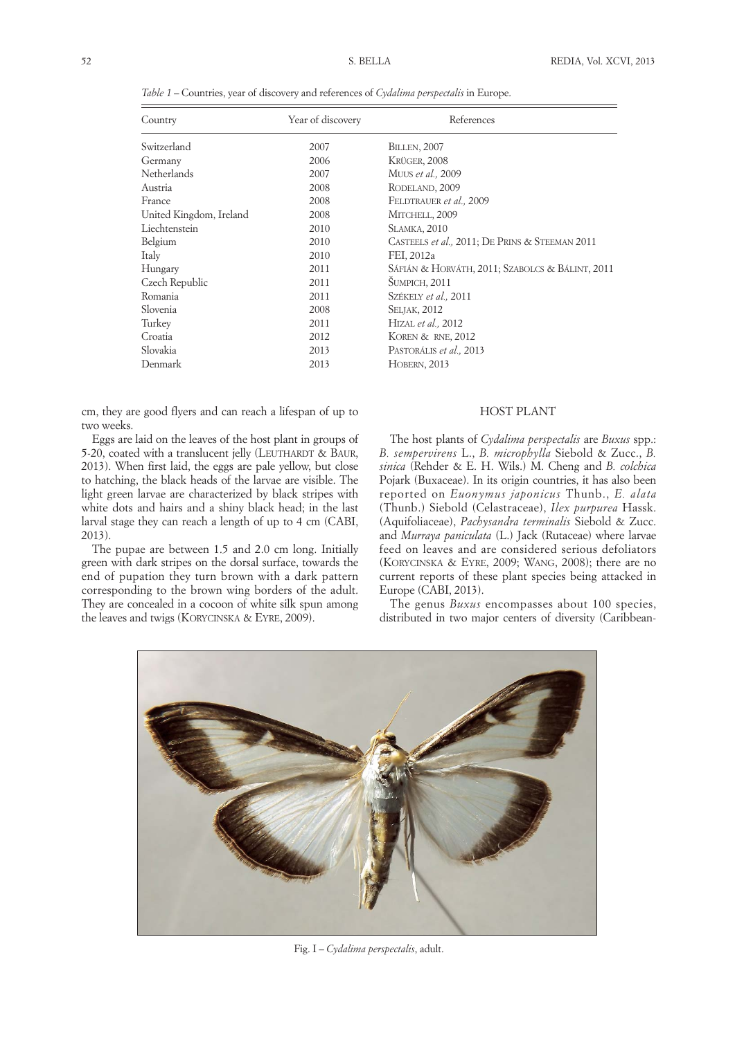| Country                 | Year of discovery | References                                      |  |
|-------------------------|-------------------|-------------------------------------------------|--|
| Switzerland             | 2007              | <b>BILLEN, 2007</b>                             |  |
| Germany                 | 2006              | KRÜGER, 2008                                    |  |
| Netherlands             | 2007              | MUUS et al., 2009                               |  |
| Austria                 | 2008              | RODELAND, 2009                                  |  |
| France                  | 2008              | FELDTRAUER et al., 2009                         |  |
| United Kingdom, Ireland | 2008              | MITCHELL, 2009                                  |  |
| Liechtenstein           | 2010              | <b>SLAMKA, 2010</b>                             |  |
| Belgium                 | 2010              | CASTEELS et al., 2011; DE PRINS & STEEMAN 2011  |  |
| Italy                   | 2010              | FEI, 2012a                                      |  |
| Hungary                 | 2011              | SÁFIÁN & HORVÁTH, 2011; SZABOLCS & BÁLINT, 2011 |  |
| Czech Republic          | 2011              | <b>ŠUMPICH, 2011</b>                            |  |
| Romania                 | 2011              | SZÉKELY et al., 2011                            |  |
| Slovenia                | 2008              | <b>SELJAK, 2012</b>                             |  |
| Turkey                  | 2011              | HIZAL et al., 2012                              |  |
| Croatia                 | 2012              | KOREN & RNE, 2012                               |  |
| Slovakia                | 2013              | PASTORÁLIS et al., 2013                         |  |

*Table 1* – Countries, year of discovery and references of *Cydalima perspectalis* in Europe.

Denmark 2013 HOBERN, 2013

cm, they are good flyers and can reach a lifespan of up to two weeks.

Eggs are laid on the leaves of the host plant in groups of 5-20, coated with a translucent jelly (LEUTHARDT & BAUR, 2013). When first laid, the eggs are pale yellow, but close to hatching, the black heads of the larvae are visible. The light green larvae are characterized by black stripes with white dots and hairs and a shiny black head; in the last larval stage they can reach a length of up to 4 cm (CABI, 2013).

The pupae are between 1.5 and 2.0 cm long. Initially green with dark stripes on the dorsal surface, towards the end of pupation they turn brown with a dark pattern corresponding to the brown wing borders of the adult. They are concealed in a cocoon of white silk spun among the leaves and twigs (KORYCINSKA & EYRE, 2009).

# HOST PLANT

The host plants of *Cydalima perspectalis* are *Buxus* spp.: *B. sempervirens* L., *B. microphylla* Siebold & Zucc., *B. sinica* (Rehder & E. H. Wils.) M. Cheng and *B. colchica* Pojark (Buxaceae). In its origin countries, it has also been reported on *Euonymus japonicus* Thunb., *E. alata* (Thunb.) Siebold (Celastraceae), *Ilex purpurea* Hassk. (Aquifoliaceae), *Pachysandra terminalis* Siebold & Zucc. and *Murraya paniculata* (L.) Jack (Rutaceae) where larvae feed on leaves and are considered serious defoliators (KORYCINSKA & EYRE, 2009; WANG, 2008); there are no current reports of these plant species being attacked in Europe (CABI, 2013).

The genus *Buxus* encompasses about 100 species, distributed in two major centers of diversity (Caribbean-



Fig. I – *Cydalima perspectalis*, adult.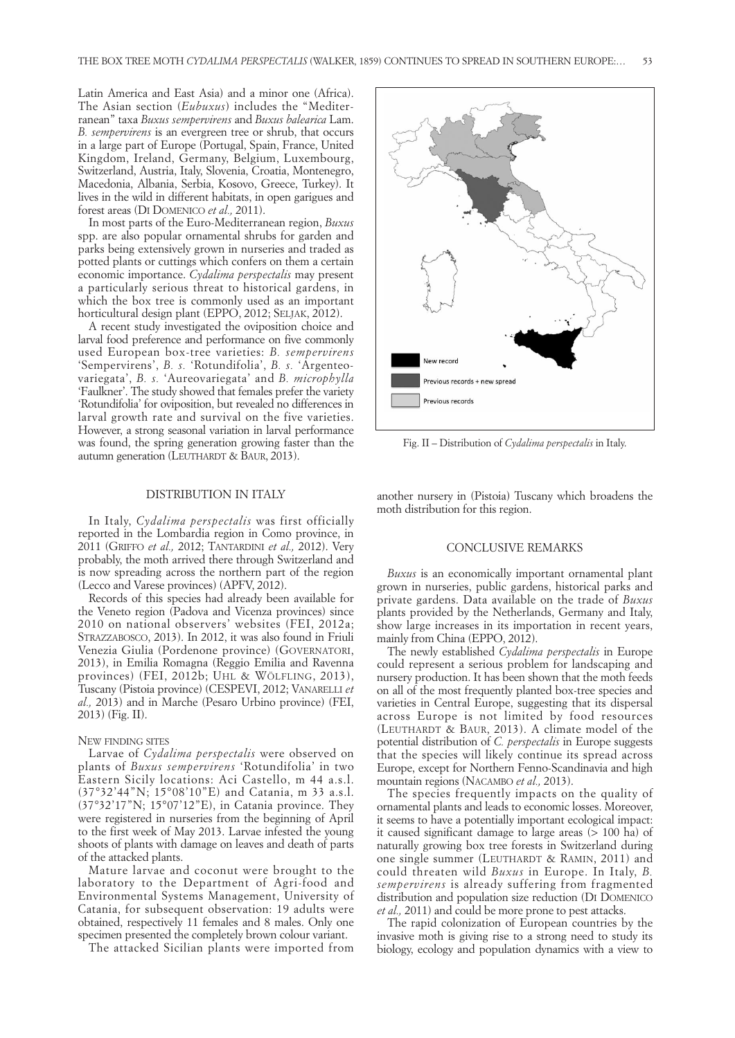Latin America and East Asia) and a minor one (Africa). The Asian section (*Eubuxus*) includes the "Mediter ranean" taxa *Buxus sempervirens* and *Buxus balearica* Lam. *B. sempervirens* is an evergreen tree or shrub, that occurs in a large part of Europe (Portugal, Spain, France, United Kingdom, Ireland, Germany, Belgium, Luxembourg, Switzerland, Austria, Italy, Slovenia, Croatia, Montenegro, Macedonia, Albania, Serbia, Kosovo, Greece, Turkey). It lives in the wild in different habitats, in open garigues and forest areas (DI DOMENICO *et al.,* 2011).

In most parts of the Euro-Mediterranean region, *Buxus* spp. are also popular ornamental shrubs for garden and parks being extensively grown in nurseries and traded as potted plants or cuttings which confers on them a certain economic importance. *Cydalima perspectalis* may present a particularly serious threat to historical gardens, in which the box tree is commonly used as an important horticultural design plant (EPPO, 2012; SELJAK, 2012).

A recent study investigated the oviposition choice and larval food preference and performance on five commonly used European box-tree varieties: *B. sempervirens* 'Sempervirens', *B. s.* 'Rotundifolia', *B. s.* 'Argenteo variegata', *B. s.* 'Aureovariegata' and *B. microphylla* 'Faulkner'. The study showed that females prefer the variety 'Rotundifolia' for oviposition, but revealed no differences in larval growth rate and survival on the five varieties. However, a strong seasonal variation in larval performance was found, the spring generation growing faster than the autumn generation (LEUTHARDT & BAUR, 2013).

### DISTRIBUTION IN ITALY

In Italy, *Cydalima perspectalis* was first officially reported in the Lombardia region in Como province, in 2011 (GRIFFO *et al.,* 2012; TANTARDINI *et al.,* 2012). Very probably, the moth arrived there through Switzerland and is now spreading across the northern part of the region (Lecco and Varese provinces) (APFV, 2012).

Records of this species had already been available for the Veneto region (Padova and Vicenza provinces) since 2010 on national observers' websites (FEI, 2012a; STRAZZABOSCO, 2013). In 2012, it was also found in Friuli Venezia Giulia (Pordenone province) (GOVERNATORI, 2013), in Emilia Romagna (Reggio Emilia and Ravenna provinces) (FEI, 2012b; UHL & WÖLFLING, 2013), Tuscany (Pistoia province) (CESPEVI, 2012; VANARELLI *et al.,* 2013) and in Marche (Pesaro Urbino province) (FEI, 2013) (Fig. II).

#### NEW FINDING SITES

Larvae of *Cydalima perspectalis* were observed on plants of *Buxus sempervirens* 'Rotundifolia' in two Eastern Sicily locations: Aci Castello, m 44 a.s.l. (37°32'44"N; 15°08'10"E) and Catania, m 33 a.s.l. (37°32'17"N; 15°07'12"E), in Catania province. They were registered in nurseries from the beginning of April to the first week of May 2013. Larvae infested the young shoots of plants with damage on leaves and death of parts of the attacked plants.

Mature larvae and coconut were brought to the laboratory to the Department of Agri-food and Environmental Systems Management, University of Catania, for subsequent observation: 19 adults were obtained, respectively 11 females and 8 males. Only one specimen presented the completely brown colour variant.

The attacked Sicilian plants were imported from



Fig. II – Distribution of *Cydalima perspectalis* in Italy.

another nursery in (Pistoia) Tuscany which broadens the moth distribution for this region.

# CONCLUSIVE REMARKS

*Buxus* is an economically important ornamental plant grown in nurseries, public gardens, historical parks and private gardens. Data available on the trade of *Buxus* plants provided by the Netherlands, Germany and Italy, show large increases in its importation in recent years, mainly from China (EPPO, 2012).

The newly established *Cydalima perspectalis* in Europe could represent a serious problem for landscaping and nursery production. It has been shown that the moth feeds on all of the most frequently planted box-tree species and varieties in Central Europe, suggesting that its dispersal across Europe is not limited by food resources (LEUTHARDT & BAUR, 2013). A climate model of the potential distribution of *C. perspectalis* in Europe suggests that the species will likely continue its spread across Europe, except for Northern Fenno-Scandinavia and high mountain regions (NACAMBO *et al.,* 2013).

The species frequently impacts on the quality of ornamental plants and leads to economic losses. Moreover, it seems to have a potentially important ecological impact: it caused significant damage to large areas (> 100 ha) of naturally growing box tree forests in Switzerland during one single summer (LEUTHARDT & RAMIN, 2011) and could threaten wild *Buxus* in Europe. In Italy, *B. sempervirens* is already suffering from fragmented distribution and population size reduction (DI DOMENICO *et al.,* 2011) and could be more prone to pest attacks.

The rapid colonization of European countries by the invasive moth is giving rise to a strong need to study its biology, ecology and population dynamics with a view to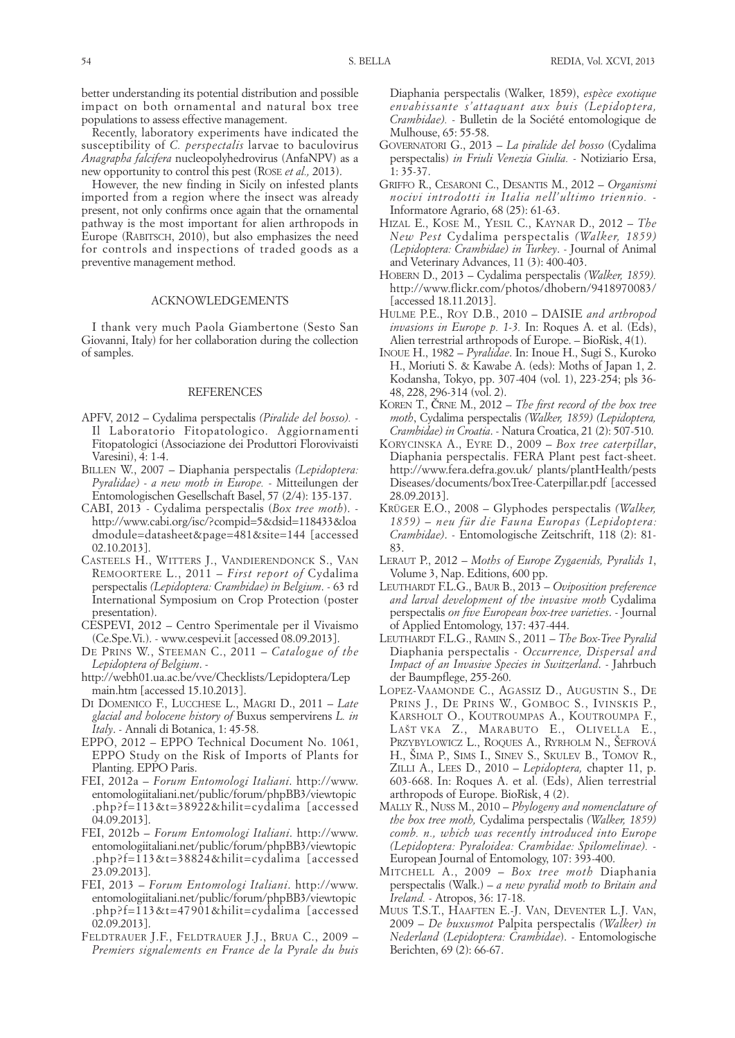better understanding its potential distribution and possible impact on both ornamental and natural box tree populations to assess effective management.

Recently, laboratory experiments have indicated the susceptibility of *C. perspectalis* larvae to baculovirus *Anagrapha falcifera* nucleopolyhedrovirus (AnfaNPV) as a new opportunity to control this pest (ROSE *et al.,* 2013).

However, the new finding in Sicily on infested plants imported from a region where the insect was already present, not only confirms once again that the ornamental pathway is the most important for alien arthropods in Europe (RABITSCH, 2010), but also emphasizes the need for controls and inspections of traded goods as a preventive management method.

#### ACKNOWLEDGEMENTS

I thank very much Paola Giambertone (Sesto San Giovanni, Italy) for her collaboration during the collection of samples.

### **REFERENCES**

- APFV, 2012 Cydalima perspectalis *(Piralide del bosso).* Il Laboratorio Fitopatologico. Aggiornamenti Fitopatologici (Associazione dei Produttori Florovivaisti Varesini), 4: 1-4.
- BILLEN W., 2007 Diaphania perspectalis *(Lepidoptera: Pyralidae) - a new moth in Europe.* - Mitteilungen der Entomologischen Gesellschaft Basel, 57 (2/4): 135-137.
- CABI, 2013 Cydalima perspectalis (*Box tree moth*). http://www.cabi.org/isc/?compid=5&dsid=118433&loa dmodule=datasheet&page=481&site=144 [accessed 02.10.2013].
- CASTEELS H., WITTERS J., VANDIERENDONCK S., VAN REMOORTERE L., 2011 – *First report of* Cydalima perspectalis *(Lepidoptera: Crambidae) in Belgium*. - 63 rd International Symposium on Crop Protection (poster presentation).
- CESPEVI, 2012 Centro Sperimentale per il Vivaismo (Ce.Spe.Vi.). - www.cespevi.it [accessed 08.09.2013].
- DE PRINS W., STEEMAN C., 2011 *Catalogue of the Lepidoptera of Belgium*. -
- http://webh01.ua.ac.be/vve/Checklists/Lepidoptera/Lep main.htm [accessed 15.10.2013].
- DI DOMENICO F., LUCCHESE L., MAGRI D., 2011 *Late glacial and holocene history of* Buxus sempervirens *L. in Italy*. - Annali di Botanica, 1: 45-58.
- EPPO, 2012 EPPO Technical Document No. 1061, EPPO Study on the Risk of Imports of Plants for Planting. EPPO Paris.
- FEI, 2012a *Forum Entomologi Italiani*. http://www. entomologiitaliani.net/public/forum/phpBB3/viewtopic .php?f=113&t=38922&hilit=cydalima [accessed 04.09.2013].
- FEI, 2012b *Forum Entomologi Italiani*. http://www. entomologiitaliani.net/public/forum/phpBB3/viewtopic .php?f=113&t=38824&hilit=cydalima [accessed 23.09.2013].
- FEI, 2013 *Forum Entomologi Italiani*. http://www. entomologiitaliani.net/public/forum/phpBB3/viewtopic .php?f=113&t=47901&hilit=cydalima [accessed 02.09.2013].
- FELDTRAUER J.F., FELDTRAUER J.J., BRUA C., 2009 *Premiers signalements en France de la Pyrale du buis*

Diaphania perspectalis (Walker, 1859), *espèce exotique envahissante s'attaquant aux buis (Lepidoptera, Crambidae).* - Bulletin de la Société entomologique de Mulhouse, 65: 55-58.

- GOVERNATORI G., 2013 *La piralide del bosso* (Cydalima perspectalis) *in Friuli Venezia Giulia.* - Notiziario Ersa, 1: 35-37.
- GRIFFO R., CESARONI C., DESANTIS M., 2012 *Organismi nocivi introdotti in Italia nell'ultimo triennio.* - Informatore Agrario, 68 (25): 61-63.
- HIZAL E., KOSE M., YESIL C., KAYNAR D., 2012 *The New Pest* Cydalima perspectalis *(Walker, 1859) (Lepidoptera: Crambidae) in Turkey*. - Journal of Animal and Veterinary Advances, 11 (3): 400-403.
- HOBERN D., 2013 Cydalima perspectalis *(Walker, 1859).* http://www.flickr.com/photos/dhobern/9418970083/ [accessed 18.11.2013].
- HULME P.E., ROY D.B., 2010 DAISIE *and arthropod invasions in Europe p. 1-3.* In: Roques A. et al. (Eds), Alien terrestrial arthropods of Europe. – BioRisk, 4(1).
- INOUE H., 1982 *Pyralidae*. In: Inoue H., Sugi S., Kuroko H., Moriuti S. & Kawabe A. (eds): Moths of Japan 1, 2. Kodansha, Tokyo, pp. 307-404 (vol. 1), 223-254; pls 36- 48, 228, 296-314 (vol. 2).
- KOREN T., ČRNE M., 2012 *The first record of the box tree moth*, Cydalima perspectalis *(Walker, 1859) (Lepidoptera, Crambidae) in Croatia*. - Natura Croatica, 21 (2): 507-510.
- KORYCINSKA A., EYRE D., 2009 *Box tree caterpillar*, Diaphania perspectalis. FERA Plant pest fact-sheet. http://www.fera.defra.gov.uk/ plants/plantHealth/pests Diseases/documents/boxTree-Caterpillar.pdf [accessed 28.09.2013].
- KRÜGER E.O., 2008 Glyphodes perspectalis *(Walker, 1859) – neu für die Fauna Europas (Lepidoptera: Crambidae)*. - Entomologische Zeitschrift, 118 (2): 81- 83.
- LERAUT P., 2012 *Moths of Europe Zygaenids, Pyralids 1*, Volume 3, Nap. Editions, 600 pp.
- LEUTHARDT F.L.G., BAUR B., 2013 *Oviposition preference and larval development of the invasive moth* Cydalima perspectalis *on five European box-tree varieties*. - Journal of Applied Entomology, 137: 437-444.
- LEUTHARDT F.L.G., RAMIN S., 2011 *The Box-Tree Pyralid* Diaphania perspectalis - *Occurrence, Dispersal and Impact of an Invasive Species in Switzerland*. - Jahrbuch der Baumpflege, 255-260.
- LOPEZ-VAAMONDE C., AGASSIZ D., AUGUSTIN S., DE PRINS J., DE PRINS W., GOMBOC S., IVINSKIS P., KARSHOLT O., KOUTROUMPAS A., KOUTROUMPA F., LAŠT VKA Z., MARABUTO E., OLIVELLA E., PRZYBYLOWICZ L., ROQUES A., RYRHOLM N., ŠEFROVÁ H., ŠIMA P., SIMS I., SINEV S., SKULEV B., TOMOV R., ZILLI A., LEES D., 2010 – *Lepidoptera,* chapter 11, p. 603-668. In: Roques A. et al. (Eds), Alien terrestrial arthropods of Europe. BioRisk, 4 (2).
- MALLY R., NUSS M., 2010 *Phylogeny and nomenclature of the box tree moth,* Cydalima perspectalis *(Walker, 1859) comb. n., which was recently introduced into Europe (Lepidoptera: Pyraloidea: Crambidae: Spilomelinae).* - European Journal of Entomology, 107: 393-400.
- MITCHELL A., 2009 *Box tree moth* Diaphania perspectalis (Walk.) *– a new pyralid moth to Britain and Ireland.* - Atropos, 36: 17-18.
- MUUS T.S.T., HAAFTEN E.-J. VAN, DEVENTER L.J. VAN, 2009 – *De buxusmot* Palpita perspectalis *(Walker) in Nederland (Lepidoptera: Crambidae*). - Entomologische Berichten, 69 (2): 66-67.